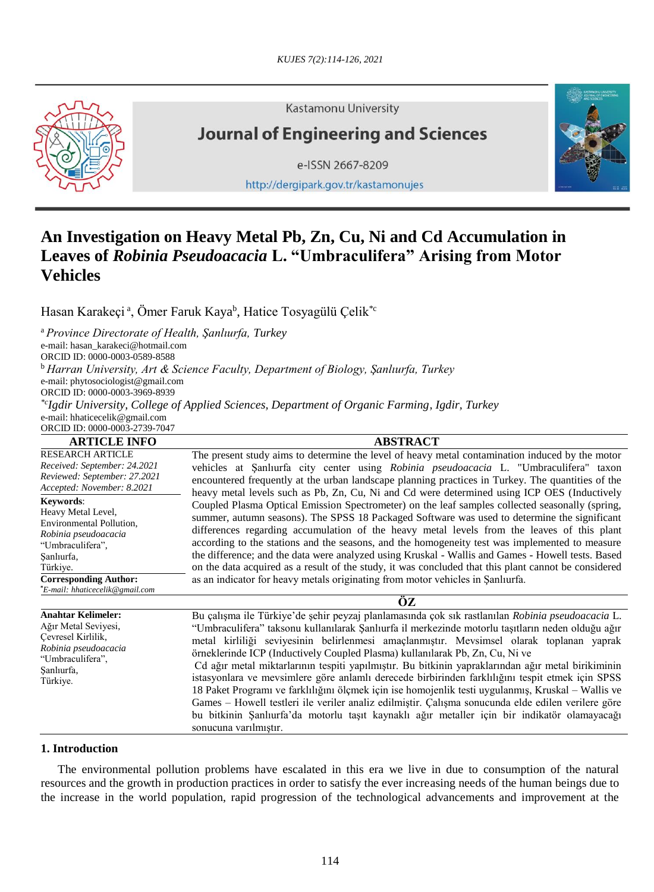

**Kastamonu University** 

# **Journal of Engineering and Sciences**

e-ISSN 2667-8209

http://dergipark.gov.tr/kastamonujes



## **An Investigation on Heavy Metal Pb, Zn, Cu, Ni and Cd Accumulation in Leaves of** *Robinia Pseudoacacia* **L. "Umbraculifera" Arising from Motor Vehicles**

Hasan Karakeçi ª, Ömer Faruk Kaya<sup>b</sup>, Hatice Tosyagülü Çelik<sup>\*c</sup>

<sup>a</sup>*Province Directorate of Health, Şanlıurfa, Turkey* e-mail: [hasan\\_karakeci@hotmail.com](mailto:hasan_karakeci@hotmail.com) ORCID ID: 0000-0003-0589-8588 <sup>b</sup> *Harran University, Art & Science Faculty, Department of Biology, Şanlıurfa, Turkey* e-mail: phytosociologist@gmail.com ORCID ID: 0000-0003-3969-8939 *\*c Igdir University, College of Applied Sciences, Department of Organic Farming, Igdir, Turkey* e-mail: hhaticecelik@gmail.com ORCID ID: 0000-0003-2739-7047

| <b>ARTICLE INFO</b>                                                                                                                                               | <b>ABSTRACT</b>                                                                                                                                                                                                                                                                                                                                                                                                                                                                                                                                                                                                                                                                                                                                                                                                                                                                                                                  |
|-------------------------------------------------------------------------------------------------------------------------------------------------------------------|----------------------------------------------------------------------------------------------------------------------------------------------------------------------------------------------------------------------------------------------------------------------------------------------------------------------------------------------------------------------------------------------------------------------------------------------------------------------------------------------------------------------------------------------------------------------------------------------------------------------------------------------------------------------------------------------------------------------------------------------------------------------------------------------------------------------------------------------------------------------------------------------------------------------------------|
| <b>RESEARCH ARTICLE</b><br>Received: September: 24.2021<br>Reviewed: September: 27.2021<br>Accepted: November: 8.2021                                             | The present study aims to determine the level of heavy metal contamination induced by the motor<br>vehicles at Sanlurfa city center using Robinia pseudoacacia L. "Umbraculifera" taxon<br>encountered frequently at the urban landscape planning practices in Turkey. The quantities of the<br>heavy metal levels such as Pb, Zn, Cu, Ni and Cd were determined using ICP OES (Inductively                                                                                                                                                                                                                                                                                                                                                                                                                                                                                                                                      |
| Keywords:<br>Heavy Metal Level,<br>Environmental Pollution,<br>Robinia pseudoacacia<br>"Umbraculifera",<br>Sanlıurfa,<br>Türkiye.<br><b>Corresponding Author:</b> | Coupled Plasma Optical Emission Spectrometer) on the leaf samples collected seasonally (spring,<br>summer, autumn seasons). The SPSS 18 Packaged Software was used to determine the significant<br>differences regarding accumulation of the heavy metal levels from the leaves of this plant<br>according to the stations and the seasons, and the homogeneity test was implemented to measure<br>the difference; and the data were analyzed using Kruskal - Wallis and Games - Howell tests. Based<br>on the data acquired as a result of the study, it was concluded that this plant cannot be considered<br>as an indicator for heavy metals originating from motor vehicles in Şanlıurfa.                                                                                                                                                                                                                                   |
| *E-mail: hhaticecelik@gmail.com                                                                                                                                   |                                                                                                                                                                                                                                                                                                                                                                                                                                                                                                                                                                                                                                                                                                                                                                                                                                                                                                                                  |
|                                                                                                                                                                   | OZ.                                                                                                                                                                                                                                                                                                                                                                                                                                                                                                                                                                                                                                                                                                                                                                                                                                                                                                                              |
| <b>Anahtar Kelimeler:</b><br>Ağır Metal Seviyesi,<br>Cevresel Kirlilik,<br>Robinia pseudoacacia<br>"Umbraculifera",<br>Sanlıurfa,<br>Türkiye.                     | Bu çalışma ile Türkiye'de şehir peyzaj planlamasında çok sık rastlanılan Robinia pseudoacacia L.<br>"Umbraculifera" taksonu kullanılarak Şanlıurfa il merkezinde motorlu taşıtların neden olduğu ağır<br>metal kirliliği seviyesinin belirlenmesi amaçlanmıştır. Mevsimsel olarak toplanan yaprak<br>örneklerinde ICP (Inductively Coupled Plasma) kullanılarak Pb, Zn, Cu, Ni ve<br>Cd ağır metal miktarlarının tespiti yapılmıştır. Bu bitkinin yapraklarından ağır metal birikiminin<br>istasyonlara ve mevsimlere göre anlamlı derecede birbirinden farklılığını tespit etmek için SPSS<br>18 Paket Programı ve farklılığını ölçmek için ise homojenlik testi uygulanmış, Kruskal – Wallis ve<br>Games – Howell testleri ile veriler analiz edilmiştir. Çalışma sonucunda elde edilen verilere göre<br>bu bitkinin Şanlıurfa'da motorlu taşıt kaynaklı ağır metaller için bir indikatör olamayacağı<br>sonucuna varılmıştır. |

### **1. Introduction**

The environmental pollution problems have escalated in this era we live in due to consumption of the natural resources and the growth in production practices in order to satisfy the ever increasing needs of the human beings due to the increase in the world population, rapid progression of the technological advancements and improvement at the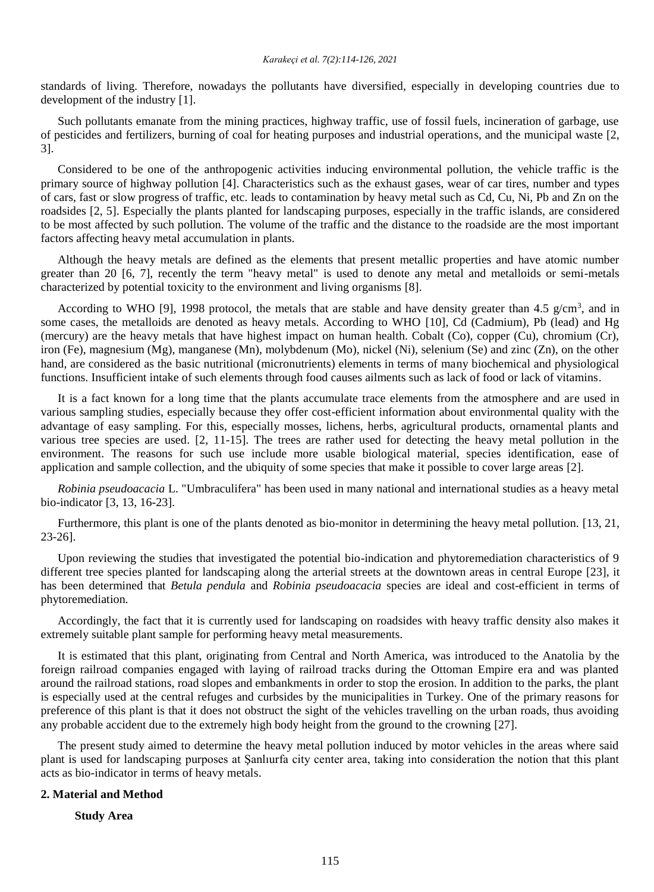standards of living. Therefore, nowadays the pollutants have diversified, especially in developing countries due to development of the industry [1].

Such pollutants emanate from the mining practices, highway traffic, use of fossil fuels, incineration of garbage, use of pesticides and fertilizers, burning of coal for heating purposes and industrial operations, and the municipal waste [2, 3].

Considered to be one of the anthropogenic activities inducing environmental pollution, the vehicle traffic is the primary source of highway pollution [4]. Characteristics such as the exhaust gases, wear of car tires, number and types of cars, fast or slow progress of traffic, etc. leads to contamination by heavy metal such as Cd, Cu, Ni, Pb and Zn on the roadsides [2, 5]. Especially the plants planted for landscaping purposes, especially in the traffic islands, are considered to be most affected by such pollution. The volume of the traffic and the distance to the roadside are the most important factors affecting heavy metal accumulation in plants.

Although the heavy metals are defined as the elements that present metallic properties and have atomic number greater than 20 [6, 7], recently the term "heavy metal" is used to denote any metal and metalloids or semi-metals characterized by potential toxicity to the environment and living organisms [8].

According to WHO [9], 1998 protocol, the metals that are stable and have density greater than 4.5  $g/cm<sup>3</sup>$ , and in some cases, the metalloids are denoted as heavy metals. According to WHO [10], Cd (Cadmium), Pb (lead) and Hg (mercury) are the heavy metals that have highest impact on human health. Cobalt (Co), copper (Cu), chromium (Cr), iron (Fe), magnesium (Mg), manganese (Mn), molybdenum (Mo), nickel (Ni), selenium (Se) and zinc (Zn), on the other hand, are considered as the basic nutritional (micronutrients) elements in terms of many biochemical and physiological functions. Insufficient intake of such elements through food causes ailments such as lack of food or lack of vitamins.

It is a fact known for a long time that the plants accumulate trace elements from the atmosphere and are used in various sampling studies, especially because they offer cost-efficient information about environmental quality with the advantage of easy sampling. For this, especially mosses, lichens, herbs, agricultural products, ornamental plants and various tree species are used. [2, 11-15]. The trees are rather used for detecting the heavy metal pollution in the environment. The reasons for such use include more usable biological material, species identification, ease of application and sample collection, and the ubiquity of some species that make it possible to cover large areas [2].

*Robinia pseudoacacia* L. "Umbraculifera" has been used in many national and international studies as a heavy metal bio-indicator [3, 13, 16-23].

Furthermore, this plant is one of the plants denoted as bio-monitor in determining the heavy metal pollution. [13, 21, 23-26].

Upon reviewing the studies that investigated the potential bio-indication and phytoremediation characteristics of 9 different tree species planted for landscaping along the arterial streets at the downtown areas in central Europe [23], it has been determined that *Betula pendula* and *Robinia pseudoacacia* species are ideal and cost-efficient in terms of phytoremediation.

Accordingly, the fact that it is currently used for landscaping on roadsides with heavy traffic density also makes it extremely suitable plant sample for performing heavy metal measurements.

It is estimated that this plant, originating from Central and North America, was introduced to the Anatolia by the foreign railroad companies engaged with laying of railroad tracks during the Ottoman Empire era and was planted around the railroad stations, road slopes and embankments in order to stop the erosion. In addition to the parks, the plant is especially used at the central refuges and curbsides by the municipalities in Turkey. One of the primary reasons for preference of this plant is that it does not obstruct the sight of the vehicles travelling on the urban roads, thus avoiding any probable accident due to the extremely high body height from the ground to the crowning [27].

The present study aimed to determine the heavy metal pollution induced by motor vehicles in the areas where said plant is used for landscaping purposes at Şanlıurfa city center area, taking into consideration the notion that this plant acts as bio-indicator in terms of heavy metals.

#### **2. Material and Method**

**Study Area**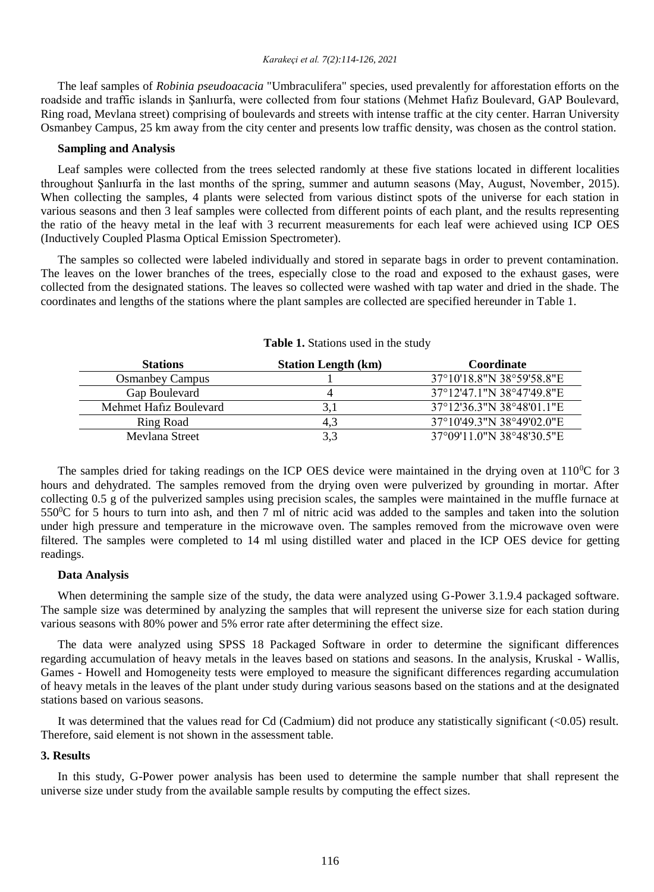The leaf samples of *Robinia pseudoacacia* "Umbraculifera" species, used prevalently for afforestation efforts on the roadside and traffic islands in Şanlıurfa, were collected from four stations (Mehmet Hafız Boulevard, GAP Boulevard, Ring road, Mevlana street) comprising of boulevards and streets with intense traffic at the city center. Harran University Osmanbey Campus, 25 km away from the city center and presents low traffic density, was chosen as the control station.

#### **Sampling and Analysis**

Leaf samples were collected from the trees selected randomly at these five stations located in different localities throughout Şanlıurfa in the last months of the spring, summer and autumn seasons (May, August, November, 2015). When collecting the samples, 4 plants were selected from various distinct spots of the universe for each station in various seasons and then 3 leaf samples were collected from different points of each plant, and the results representing the ratio of the heavy metal in the leaf with 3 recurrent measurements for each leaf were achieved using ICP OES (Inductively Coupled Plasma Optical Emission Spectrometer).

The samples so collected were labeled individually and stored in separate bags in order to prevent contamination. The leaves on the lower branches of the trees, especially close to the road and exposed to the exhaust gases, were collected from the designated stations. The leaves so collected were washed with tap water and dried in the shade. The coordinates and lengths of the stations where the plant samples are collected are specified hereunder in Table 1.

| <b>Stations</b>        | <b>Station Length (km)</b> | Coordinate                |
|------------------------|----------------------------|---------------------------|
| <b>Osmanbey Campus</b> |                            | 37°10'18.8"N 38°59'58.8"E |
| Gap Boulevard          |                            | 37°12'47.1"N 38°47'49.8"E |
| Mehmet Hafiz Boulevard |                            | 37°12'36.3"N 38°48'01.1"E |
| Ring Road              | 4.5                        | 37°10'49.3"N 38°49'02.0"E |
| Mevlana Street         |                            | 37°09'11.0"N 38°48'30.5"E |

**Table 1.** Stations used in the study

The samples dried for taking readings on the ICP OES device were maintained in the drying oven at  $110^{\circ}$ C for 3 hours and dehydrated. The samples removed from the drying oven were pulverized by grounding in mortar. After collecting 0.5 g of the pulverized samples using precision scales, the samples were maintained in the muffle furnace at  $550\textdegree$ C for 5 hours to turn into ash, and then 7 ml of nitric acid was added to the samples and taken into the solution under high pressure and temperature in the microwave oven. The samples removed from the microwave oven were filtered. The samples were completed to 14 ml using distilled water and placed in the ICP OES device for getting readings.

#### **Data Analysis**

When determining the sample size of the study, the data were analyzed using G-Power 3.1.9.4 packaged software. The sample size was determined by analyzing the samples that will represent the universe size for each station during various seasons with 80% power and 5% error rate after determining the effect size.

The data were analyzed using SPSS 18 Packaged Software in order to determine the significant differences regarding accumulation of heavy metals in the leaves based on stations and seasons. In the analysis, Kruskal - Wallis, Games - Howell and Homogeneity tests were employed to measure the significant differences regarding accumulation of heavy metals in the leaves of the plant under study during various seasons based on the stations and at the designated stations based on various seasons.

It was determined that the values read for Cd (Cadmium) did not produce any statistically significant (<0.05) result. Therefore, said element is not shown in the assessment table.

#### **3. Results**

In this study, G-Power power analysis has been used to determine the sample number that shall represent the universe size under study from the available sample results by computing the effect sizes.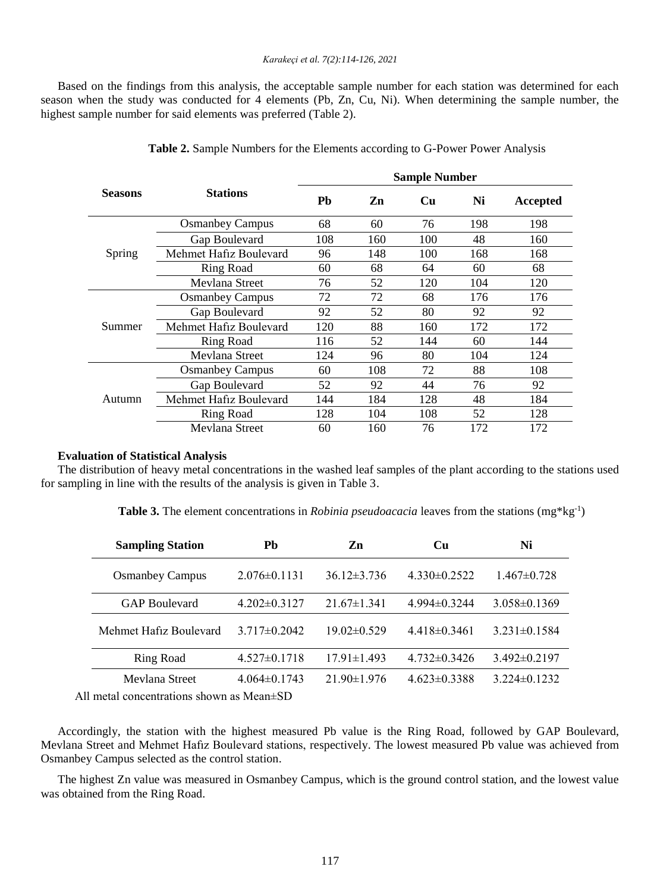Based on the findings from this analysis, the acceptable sample number for each station was determined for each season when the study was conducted for 4 elements (Pb, Zn, Cu, Ni). When determining the sample number, the highest sample number for said elements was preferred (Table 2).

|                | <b>Stations</b>        | <b>Sample Number</b> |     |           |     |          |  |
|----------------|------------------------|----------------------|-----|-----------|-----|----------|--|
| <b>Seasons</b> |                        | Pb                   | Zn  | <b>Cu</b> | Ni  | Accepted |  |
|                | <b>Osmanbey Campus</b> | 68                   | 60  | 76        | 198 | 198      |  |
|                | Gap Boulevard          | 108                  | 160 | 100       | 48  | 160      |  |
| Spring         | Mehmet Hafız Boulevard | 96                   | 148 | 100       | 168 | 168      |  |
|                | <b>Ring Road</b>       | 60                   | 68  | 64        | 60  | 68       |  |
|                | Mevlana Street         | 76                   | 52  | 120       | 104 | 120      |  |
| Summer         | <b>Osmanbey Campus</b> | 72                   | 72  | 68        | 176 | 176      |  |
|                | Gap Boulevard          | 92                   | 52  | 80        | 92  | 92       |  |
|                | Mehmet Hafiz Boulevard | 120                  | 88  | 160       | 172 | 172      |  |
|                | Ring Road              | 116                  | 52  | 144       | 60  | 144      |  |
|                | Mevlana Street         | 124                  | 96  | 80        | 104 | 124      |  |
|                | <b>Osmanbey Campus</b> | 60                   | 108 | 72        | 88  | 108      |  |
|                | Gap Boulevard          | 52                   | 92  | 44        | 76  | 92       |  |
| Autumn         | Mehmet Hafiz Boulevard | 144                  | 184 | 128       | 48  | 184      |  |
|                | <b>Ring Road</b>       | 128                  | 104 | 108       | 52  | 128      |  |
|                | Mevlana Street         | 60                   | 160 | 76        | 172 | 172      |  |

**Table 2.** Sample Numbers for the Elements according to G-Power Power Analysis

#### **Evaluation of Statistical Analysis**

The distribution of heavy metal concentrations in the washed leaf samples of the plant according to the stations used for sampling in line with the results of the analysis is given in Table 3.

**Table 3.** The element concentrations in *Robinia pseudoacacia* leaves from the stations  $(mg*kg^{-1})$ 

| <b>Sampling Station</b>                       | Pb                        | Zn                | Cu                 | Ni                 |
|-----------------------------------------------|---------------------------|-------------------|--------------------|--------------------|
| <b>Osmanbey Campus</b>                        | $2.076 \pm 0.1131$        | $36.12 \pm 3.736$ | $4.330\pm0.2522$   | $1.467 \pm 0.728$  |
| <b>GAP</b> Boulevard                          | $4.202 \pm 0.3127$        | $21.67 \pm 1.341$ | $4.994\pm0.3244$   | $3.058 \pm 0.1369$ |
| Mehmet Hafiz Boulevard                        | $3.717\pm0.2042$          | $19.02 \pm 0.529$ | $4.418\pm0.3461$   | $3.231 \pm 0.1584$ |
| Ring Road                                     | $4.527 \pm 0.1718$        | $17.91 \pm 1.493$ | $4.732\pm0.3426$   | $3.492 \pm 0.2197$ |
| Mevlana Street                                | $4.064\pm0.1743$          | $21.90 \pm 1.976$ | $4.623 \pm 0.3388$ | $3.224 \pm 0.1232$ |
| $\sim$ 1 $\sim$ $\sim$ $\sim$ $\sim$ $\sim$ 1 | $\mathbf{1}$ $\mathbf{1}$ |                   |                    |                    |

All metal concentrations shown as Mean±SD

Accordingly, the station with the highest measured Pb value is the Ring Road, followed by GAP Boulevard, Mevlana Street and Mehmet Hafız Boulevard stations, respectively. The lowest measured Pb value was achieved from Osmanbey Campus selected as the control station.

The highest Zn value was measured in Osmanbey Campus, which is the ground control station, and the lowest value was obtained from the Ring Road.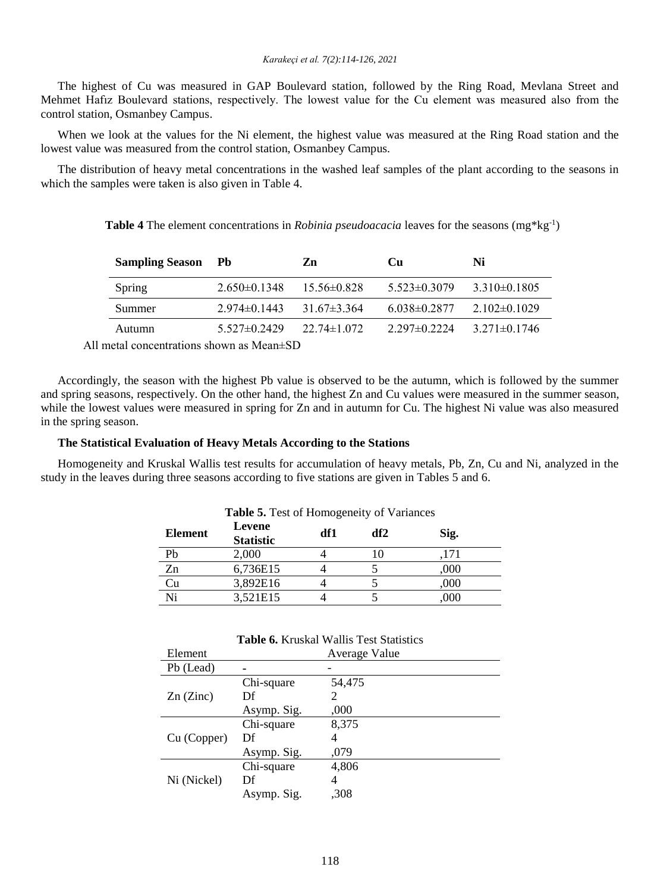The highest of Cu was measured in GAP Boulevard station, followed by the Ring Road, Mevlana Street and Mehmet Hafız Boulevard stations, respectively. The lowest value for the Cu element was measured also from the control station, Osmanbey Campus.

When we look at the values for the Ni element, the highest value was measured at the Ring Road station and the lowest value was measured from the control station, Osmanbey Campus.

The distribution of heavy metal concentrations in the washed leaf samples of the plant according to the seasons in which the samples were taken is also given in Table 4.

| <b>Table 4</b> The element concentrations in <i>Robinia pseudoacacia</i> leaves for the seasons $(mg*kg^{-1})$ |  |  |
|----------------------------------------------------------------------------------------------------------------|--|--|
|----------------------------------------------------------------------------------------------------------------|--|--|

| <b>Sampling Season</b> Pb |                  | Zn                | Cu                 | Ni                 |
|---------------------------|------------------|-------------------|--------------------|--------------------|
| <b>Spring</b>             | $2.650\pm0.1348$ | $15.56 \pm 0.828$ | $5.523 \pm 0.3079$ | $3.310\pm0.1805$   |
| Summer                    | $2.974\pm0.1443$ | $31.67\pm3.364$   | $6.038\pm0.2877$   | $2.102\pm0.1029$   |
| Autumn                    | $5.527\pm0.2429$ | $22.74 \pm 1.072$ | $2.297\pm0.2224$   | $3.271 \pm 0.1746$ |

All metal concentrations shown as Mean±SD

Accordingly, the season with the highest Pb value is observed to be the autumn, which is followed by the summer and spring seasons, respectively. On the other hand, the highest Zn and Cu values were measured in the summer season, while the lowest values were measured in spring for Zn and in autumn for Cu. The highest Ni value was also measured in the spring season.

#### **The Statistical Evaluation of Heavy Metals According to the Stations**

Homogeneity and Kruskal Wallis test results for accumulation of heavy metals, Pb, Zn, Cu and Ni, analyzed in the study in the leaves during three seasons according to five stations are given in Tables 5 and 6.

**Table 5.** Test of Homogeneity of Variances

| Element | <b>rable 3.</b> Fest of Homogeneity or variances<br>Levene<br><b>Statistic</b> | df1 | df2 | Sig. |
|---------|--------------------------------------------------------------------------------|-----|-----|------|
| Pb      | 2,000                                                                          |     |     | .171 |
| Zn      | 6,736E15                                                                       |     |     | ,000 |
| Cu      | 3,892E16                                                                       |     |     | ,000 |
| Ni      | 3,521E15                                                                       |     |     | ,000 |

| Element     |             | Average Value |
|-------------|-------------|---------------|
| Pb (Lead)   |             |               |
|             | Chi-square  | 54,475        |
| $Zn$ (Zinc) | Df          | 2             |
|             | Asymp. Sig. | ,000          |
|             | Chi-square  | 8,375         |
| Cu (Copper) | Df          | 4             |
|             | Asymp. Sig. | ,079          |
|             | Chi-square  | 4,806         |
| Ni (Nickel) | Df          | 4             |
|             | Asymp. Sig. | ,308          |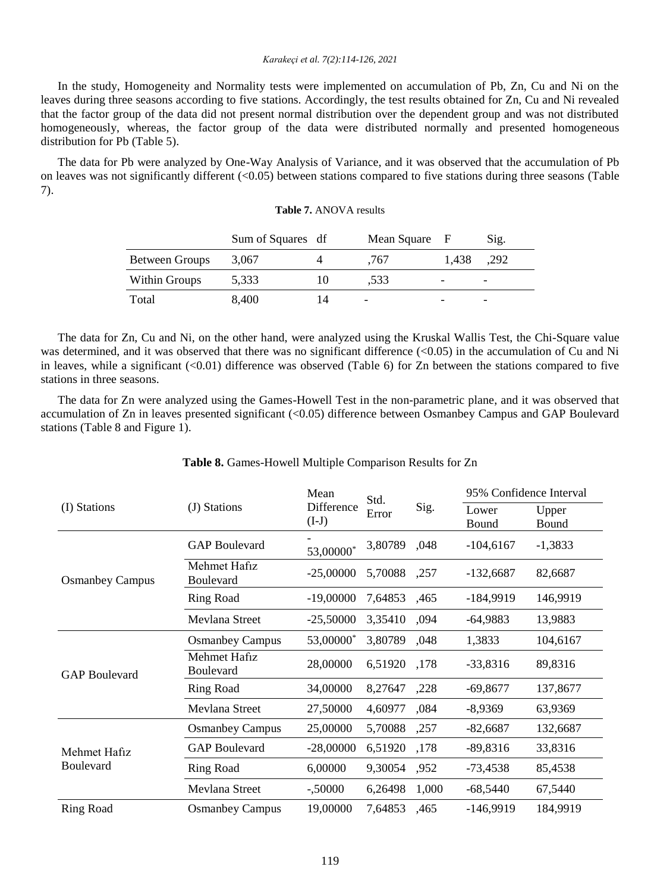#### *Karakeçi et al. 7(2):114-126, 2021*

In the study, Homogeneity and Normality tests were implemented on accumulation of Pb, Zn, Cu and Ni on the leaves during three seasons according to five stations. Accordingly, the test results obtained for Zn, Cu and Ni revealed that the factor group of the data did not present normal distribution over the dependent group and was not distributed homogeneously, whereas, the factor group of the data were distributed normally and presented homogeneous distribution for Pb (Table 5).

The data for Pb were analyzed by One-Way Analysis of Variance, and it was observed that the accumulation of Pb on leaves was not significantly different (<0.05) between stations compared to five stations during three seasons (Table 7).

#### **Table 7.** ANOVA results

|                | Sum of Squares df |    | Mean Square F |       | Sig.                     |
|----------------|-------------------|----|---------------|-------|--------------------------|
| Between Groups | 3,067             |    | .767          | 1.438 | .292                     |
| Within Groups  | 5,333             | 10 | .533          | -     | $\overline{\phantom{a}}$ |
| Total          | 8,400             | 14 | -             |       |                          |

The data for Zn, Cu and Ni, on the other hand, were analyzed using the Kruskal Wallis Test, the Chi-Square value was determined, and it was observed that there was no significant difference (<0.05) in the accumulation of Cu and Ni in leaves, while a significant  $(<0.01$ ) difference was observed (Table 6) for Zn between the stations compared to five stations in three seasons.

The data for Zn were analyzed using the Games-Howell Test in the non-parametric plane, and it was observed that accumulation of Zn in leaves presented significant (<0.05) difference between Osmanbey Campus and GAP Boulevard stations (Table 8 and Figure 1).

| (I) Stations              | (J) Stations              | Mean<br>Difference<br>$(I-J)$ | Std.<br>Error |       | 95% Confidence Interval |                |
|---------------------------|---------------------------|-------------------------------|---------------|-------|-------------------------|----------------|
|                           |                           |                               |               | Sig.  | Lower<br>Bound          | Upper<br>Bound |
|                           | <b>GAP Boulevard</b>      | 53,00000*                     | 3,80789       | ,048  | $-104,6167$             | $-1,3833$      |
| <b>Osmanbey Campus</b>    | Mehmet Hafiz<br>Boulevard | $-25,00000$                   | 5,70088       | ,257  | $-132,6687$             | 82,6687        |
|                           | <b>Ring Road</b>          | $-19,00000$                   | 7,64853       | ,465  | $-184,9919$             | 146,9919       |
|                           | Mevlana Street            | $-25,50000$                   | 3,35410       | .094  | $-64,9883$              | 13,9883        |
|                           | <b>Osmanbey Campus</b>    | 53,00000*                     | 3,80789       | ,048  | 1,3833                  | 104,6167       |
| <b>GAP Boulevard</b>      | Mehmet Hafiz<br>Boulevard | 28,00000                      | 6,51920       | ,178  | $-33,8316$              | 89,8316        |
|                           | Ring Road                 | 34,00000                      | 8,27647       | ,228  | $-69,8677$              | 137,8677       |
|                           | Mevlana Street            | 27,50000                      | 4,60977       | ,084  | $-8,9369$               | 63,9369        |
|                           | <b>Osmanbey Campus</b>    | 25,00000                      | 5,70088       | ,257  | $-82,6687$              | 132,6687       |
| Mehmet Hafiz<br>Boulevard | <b>GAP Boulevard</b>      | $-28,00000$                   | 6,51920       | ,178  | $-89,8316$              | 33,8316        |
|                           | Ring Road                 | 6,00000                       | 9,30054       | .952  | $-73,4538$              | 85,4538        |
|                           | Mevlana Street            | $-.50000$                     | 6,26498       | 1,000 | $-68,5440$              | 67,5440        |
| <b>Ring Road</b>          | <b>Osmanbey Campus</b>    | 19,00000                      | 7,64853       | ,465  | $-146,9919$             | 184,9919       |

## **Table 8.** Games-Howell Multiple Comparison Results for Zn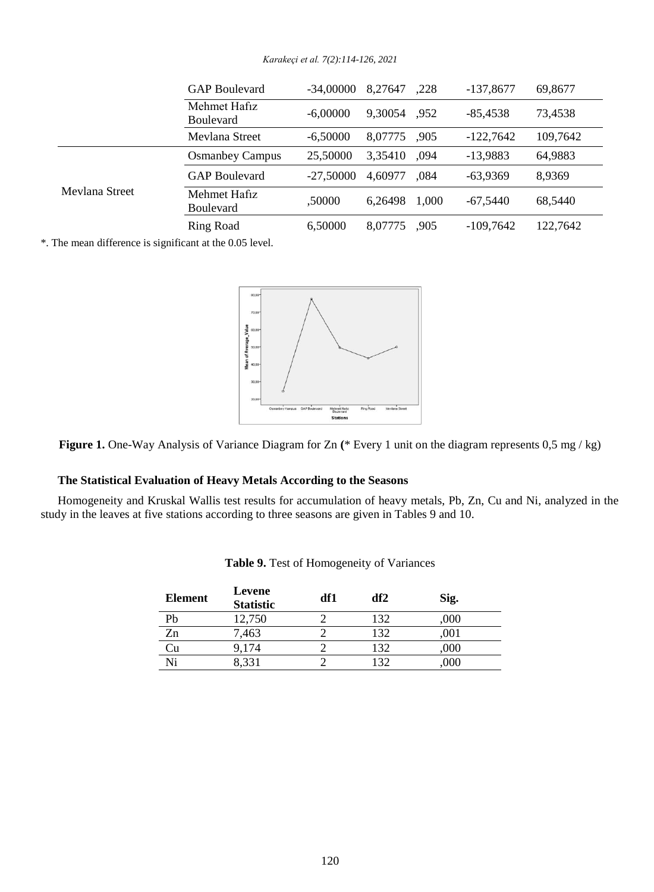|                | <b>GAP Boulevard</b>             | -34.00000   | 8.27647 | .228  | $-137,8677$ | 69,8677  |
|----------------|----------------------------------|-------------|---------|-------|-------------|----------|
|                | Mehmet Hafiz<br><b>Boulevard</b> | $-6,00000$  | 9.30054 | .952  | $-85.4538$  | 73,4538  |
|                | Mevlana Street                   | $-6,50000$  | 8,07775 | .905  | $-122,7642$ | 109,7642 |
|                | <b>Osmanbey Campus</b>           | 25,50000    | 3,35410 | .094  | $-13.9883$  | 64,9883  |
| Mevlana Street | <b>GAP Boulevard</b>             | $-27.50000$ | 4,60977 | .084  | $-63.9369$  | 8,9369   |
|                | Mehmet Hafiz<br><b>Boulevard</b> | .50000      | 6.26498 | 1.000 | $-67.5440$  | 68,5440  |
|                | Ring Road                        | 6,50000     | 8,07775 | .905  | $-109,7642$ | 122,7642 |

*Karakeçi et al. 7(2):114-126, 2021*

\*. The mean difference is significant at the 0.05 level.



**Figure 1.** One-Way Analysis of Variance Diagram for Zn **(**\* Every 1 unit on the diagram represents 0,5 mg / kg)

#### **The Statistical Evaluation of Heavy Metals According to the Seasons**

Homogeneity and Kruskal Wallis test results for accumulation of heavy metals, Pb, Zn, Cu and Ni, analyzed in the study in the leaves at five stations according to three seasons are given in Tables 9 and 10.

| <b>Element</b> | Levene<br><b>Statistic</b> | df1 | df2 | Sig. |
|----------------|----------------------------|-----|-----|------|
| Pb             | 12,750                     |     | 132 | ,000 |
| Zn             | 7,463                      |     | 132 | ,001 |
| ેu             | 9.174                      |     | 132 | ,000 |
| Ni             | 8.331                      |     | 132 | .000 |

**Table 9.** Test of Homogeneity of Variances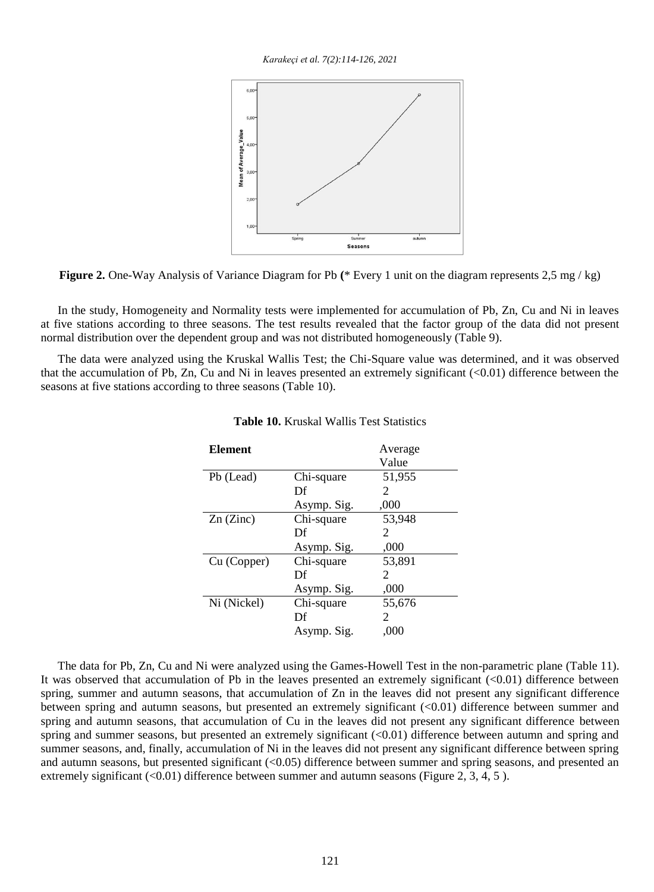*Karakeçi et al. 7(2):114-126, 2021*



**Figure 2.** One-Way Analysis of Variance Diagram for Pb **(**\* Every 1 unit on the diagram represents 2,5 mg / kg)

In the study, Homogeneity and Normality tests were implemented for accumulation of Pb, Zn, Cu and Ni in leaves at five stations according to three seasons. The test results revealed that the factor group of the data did not present normal distribution over the dependent group and was not distributed homogeneously (Table 9).

The data were analyzed using the Kruskal Wallis Test; the Chi-Square value was determined, and it was observed that the accumulation of Pb, Zn, Cu and Ni in leaves presented an extremely significant  $(<0.01$ ) difference between the seasons at five stations according to three seasons (Table 10).

| <b>Element</b> |             | Average |
|----------------|-------------|---------|
|                |             | Value   |
| Pb (Lead)      | Chi-square  | 51,955  |
|                | Df          | 2       |
|                | Asymp. Sig. | .000    |
| $Zn$ (Zinc)    | Chi-square  | 53,948  |
|                | Df          | 2       |
|                | Asymp. Sig. | ,000    |
| Cu (Copper)    | Chi-square  | 53,891  |
|                | Df          | 2       |
|                | Asymp. Sig. | ,000    |
| Ni (Nickel)    | Chi-square  | 55,676  |
|                | Df          | 2       |
|                | Asymp. Sig. | .000    |

#### **Table 10.** Kruskal Wallis Test Statistics

The data for Pb, Zn, Cu and Ni were analyzed using the Games-Howell Test in the non-parametric plane (Table 11). It was observed that accumulation of Pb in the leaves presented an extremely significant (<0.01) difference between spring, summer and autumn seasons, that accumulation of Zn in the leaves did not present any significant difference between spring and autumn seasons, but presented an extremely significant (<0.01) difference between summer and spring and autumn seasons, that accumulation of Cu in the leaves did not present any significant difference between spring and summer seasons, but presented an extremely significant (<0.01) difference between autumn and spring and summer seasons, and, finally, accumulation of Ni in the leaves did not present any significant difference between spring and autumn seasons, but presented significant (<0.05) difference between summer and spring seasons, and presented an extremely significant  $(\leq 0.01)$  difference between summer and autumn seasons (Figure 2, 3, 4, 5).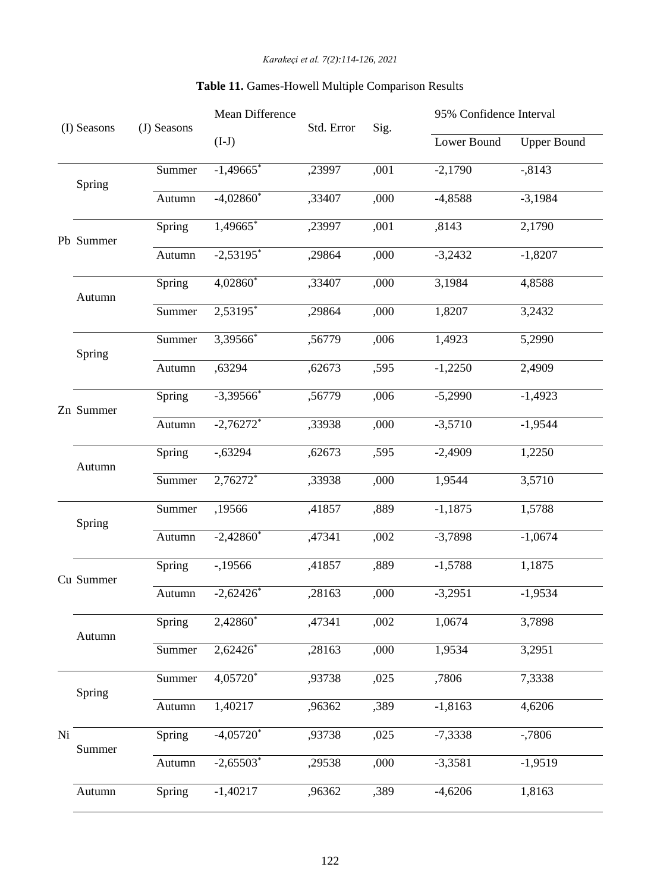|    | (I) Seasons | (J) Seasons | Mean Difference         | Std. Error | Sig. | 95% Confidence Interval |                    |
|----|-------------|-------------|-------------------------|------------|------|-------------------------|--------------------|
|    |             |             | $(I-J)$                 |            |      | Lower Bound             | <b>Upper Bound</b> |
|    | Spring      | Summer      | $-1,49665$ *            | ,23997     | ,001 | $-2,1790$               | $-0.8143$          |
|    |             | Autumn      | $-4,02860*$             | ,33407     | ,000 | $-4,8588$               | $-3,1984$          |
|    | Pb Summer   | Spring      | $\overline{1,}49665$ *  | ,23997     | ,001 | ,8143                   | 2,1790             |
|    |             | Autumn      | $-2,53195$ <sup>*</sup> | ,29864     | ,000 | $-3,2432$               | $-1,8207$          |
|    | Autumn      | Spring      | 4,02860*                | ,33407     | ,000 | 3,1984                  | 4,8588             |
|    |             | Summer      | 2,53195*                | ,29864     | ,000 | 1,8207                  | 3,2432             |
|    | Spring      | Summer      | 3,39566*                | ,56779     | ,006 | 1,4923                  | 5,2990             |
|    |             | Autumn      | ,63294                  | ,62673     | ,595 | $-1,2250$               | 2,4909             |
|    | Zn Summer   | Spring      | $-3,39566$ *            | ,56779     | ,006 | $-5,2990$               | $-1,4923$          |
|    |             | Autumn      | $-2,76272$ <sup>*</sup> | ,33938     | ,000 | $-3,5710$               | $-1,9544$          |
|    | Autumn      | Spring      | $-0.63294$              | ,62673     | ,595 | $-2,4909$               | 1,2250             |
|    |             | Summer      | 2,76272*                | ,33938     | ,000 | 1,9544                  | 3,5710             |
|    | Spring      | Summer      | ,19566                  | ,41857     | ,889 | $-1,1875$               | 1,5788             |
|    |             | Autumn      | $-2,42860$ <sup>*</sup> | ,47341     | ,002 | $-3,7898$               | $-1,0674$          |
|    | Cu Summer   | Spring      | $-19566$                | ,41857     | ,889 | $-1,5788$               | 1,1875             |
|    |             | Autumn      | $-2,62426*$             | ,28163     | ,000 | $-3,2951$               | $-1,9534$          |
|    | Autumn      | Spring      | 2,42860*                | ,47341     | ,002 | 1,0674                  | 3,7898             |
|    |             | Summer      | 2,62426*                | ,28163     | ,000 | 1,9534                  | 3,2951             |
|    | Spring      | Summer      | 4,05720*                | ,93738     | ,025 | ,7806                   | 7,3338             |
|    |             | Autumn      | 1,40217                 | ,96362     | ,389 | $-1,8163$               | 4,6206             |
| Ni | Summer      | Spring      | $-4,05720*$             | ,93738     | ,025 | $-7,3338$               | $-0.7806$          |
|    |             | Autumn      | $-2,65503*$             | ,29538     | ,000 | $-3,3581$               | $-1,9519$          |
|    | Autumn      | Spring      | $-1,40217$              | ,96362     | ,389 | $-4,6206$               | 1,8163             |

## **Table 11.** Games-Howell Multiple Comparison Results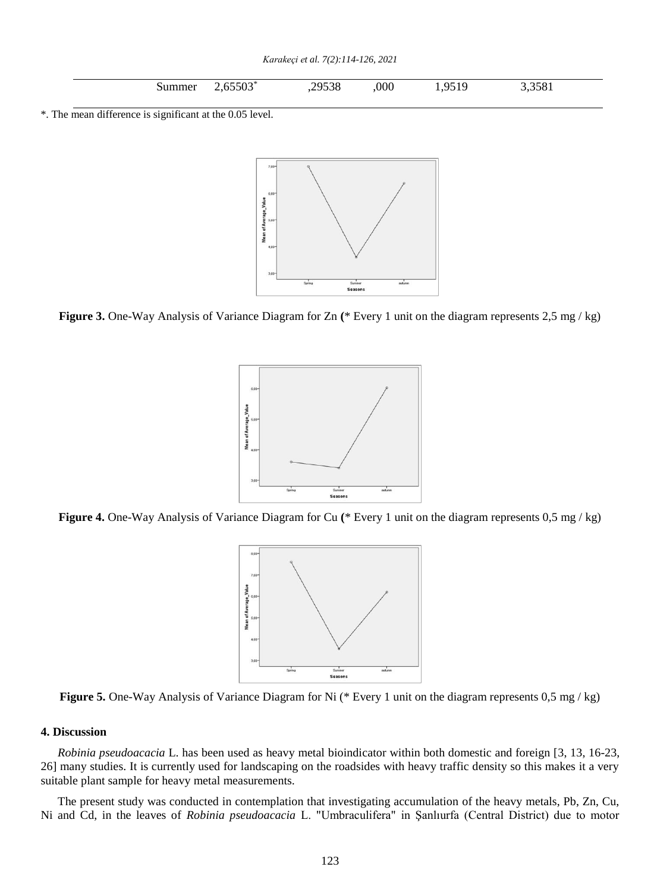*Karakeçi et al. 7(2):114-126, 2021*

|  | ummer | $\epsilon$ = $\epsilon$ 0.0*<br>ous<br>. . <b>.</b> . | 29538<br>9338 | 000 | $\Omega$<br>$\Omega$ $\sim$<br>∼<br>__ | $\mathbf{a} = \mathbf{a} \cdot \mathbf{a}$<br>1800 |
|--|-------|-------------------------------------------------------|---------------|-----|----------------------------------------|----------------------------------------------------|
|--|-------|-------------------------------------------------------|---------------|-----|----------------------------------------|----------------------------------------------------|

\*. The mean difference is significant at the 0.05 level.



**Figure 3.** One-Way Analysis of Variance Diagram for Zn **(**\* Every 1 unit on the diagram represents 2,5 mg / kg)



**Figure 4.** One-Way Analysis of Variance Diagram for Cu **(**\* Every 1 unit on the diagram represents 0,5 mg / kg)



**Figure 5.** One-Way Analysis of Variance Diagram for Ni (\* Every 1 unit on the diagram represents 0,5 mg / kg)

### **4. Discussion**

*Robinia pseudoacacia* L. has been used as heavy metal bioindicator within both domestic and foreign [3, 13, 16-23, 26] many studies. It is currently used for landscaping on the roadsides with heavy traffic density so this makes it a very suitable plant sample for heavy metal measurements.

The present study was conducted in contemplation that investigating accumulation of the heavy metals, Pb, Zn, Cu, Ni and Cd, in the leaves of *Robinia pseudoacacia* L. "Umbraculifera" in Şanlıurfa (Central District) due to motor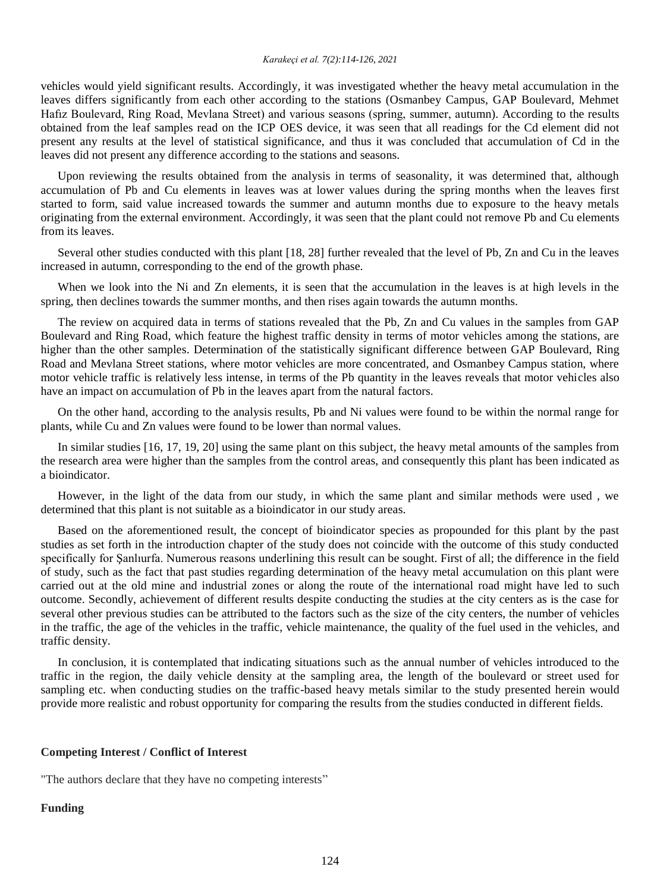#### *Karakeçi et al. 7(2):114-126, 2021*

vehicles would yield significant results. Accordingly, it was investigated whether the heavy metal accumulation in the leaves differs significantly from each other according to the stations (Osmanbey Campus, GAP Boulevard, Mehmet Hafız Boulevard, Ring Road, Mevlana Street) and various seasons (spring, summer, autumn). According to the results obtained from the leaf samples read on the ICP OES device, it was seen that all readings for the Cd element did not present any results at the level of statistical significance, and thus it was concluded that accumulation of Cd in the leaves did not present any difference according to the stations and seasons.

Upon reviewing the results obtained from the analysis in terms of seasonality, it was determined that, although accumulation of Pb and Cu elements in leaves was at lower values during the spring months when the leaves first started to form, said value increased towards the summer and autumn months due to exposure to the heavy metals originating from the external environment. Accordingly, it was seen that the plant could not remove Pb and Cu elements from its leaves.

Several other studies conducted with this plant [18, 28] further revealed that the level of Pb, Zn and Cu in the leaves increased in autumn, corresponding to the end of the growth phase.

When we look into the Ni and Zn elements, it is seen that the accumulation in the leaves is at high levels in the spring, then declines towards the summer months, and then rises again towards the autumn months.

The review on acquired data in terms of stations revealed that the Pb, Zn and Cu values in the samples from GAP Boulevard and Ring Road, which feature the highest traffic density in terms of motor vehicles among the stations, are higher than the other samples. Determination of the statistically significant difference between GAP Boulevard, Ring Road and Mevlana Street stations, where motor vehicles are more concentrated, and Osmanbey Campus station, where motor vehicle traffic is relatively less intense, in terms of the Pb quantity in the leaves reveals that motor vehicles also have an impact on accumulation of Pb in the leaves apart from the natural factors.

On the other hand, according to the analysis results, Pb and Ni values were found to be within the normal range for plants, while Cu and Zn values were found to be lower than normal values.

In similar studies [16, 17, 19, 20] using the same plant on this subject, the heavy metal amounts of the samples from the research area were higher than the samples from the control areas, and consequently this plant has been indicated as a bioindicator.

However, in the light of the data from our study, in which the same plant and similar methods were used , we determined that this plant is not suitable as a bioindicator in our study areas.

Based on the aforementioned result, the concept of bioindicator species as propounded for this plant by the past studies as set forth in the introduction chapter of the study does not coincide with the outcome of this study conducted specifically for Şanlıurfa. Numerous reasons underlining this result can be sought. First of all; the difference in the field of study, such as the fact that past studies regarding determination of the heavy metal accumulation on this plant were carried out at the old mine and industrial zones or along the route of the international road might have led to such outcome. Secondly, achievement of different results despite conducting the studies at the city centers as is the case for several other previous studies can be attributed to the factors such as the size of the city centers, the number of vehicles in the traffic, the age of the vehicles in the traffic, vehicle maintenance, the quality of the fuel used in the vehicles, and traffic density.

In conclusion, it is contemplated that indicating situations such as the annual number of vehicles introduced to the traffic in the region, the daily vehicle density at the sampling area, the length of the boulevard or street used for sampling etc. when conducting studies on the traffic-based heavy metals similar to the study presented herein would provide more realistic and robust opportunity for comparing the results from the studies conducted in different fields.

#### **Competing Interest / Conflict of Interest**

"The authors declare that they have no competing interests"

#### **Funding**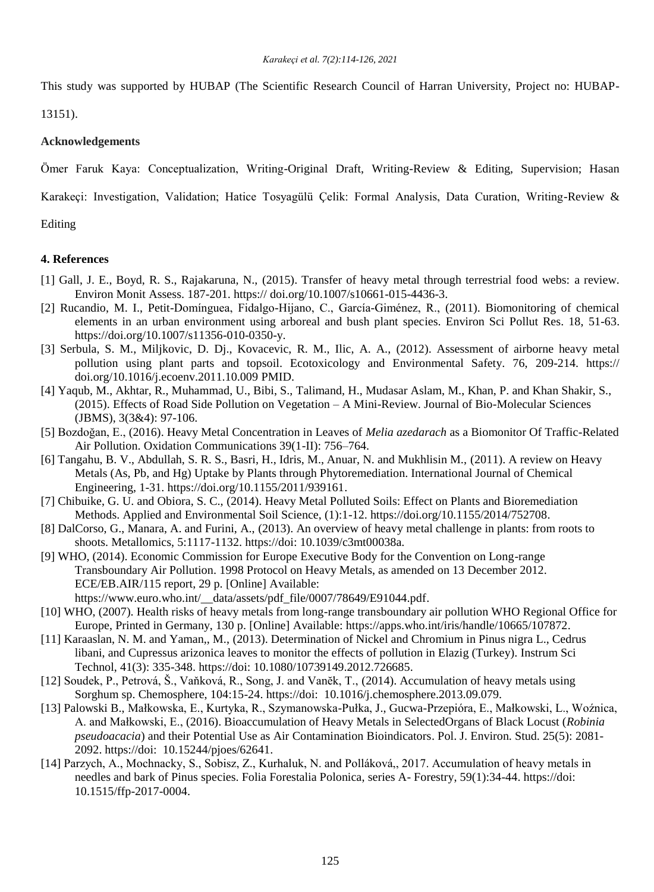This study was supported by HUBAP (The Scientific Research Council of Harran University, Project no: HUBAP-

13151).

## **Acknowledgements**

Ömer Faruk Kaya: Conceptualization, Writing-Original Draft, Writing-Review & Editing, Supervision; Hasan

Karakeçi: Investigation, Validation; Hatice Tosyagülü Çelik: Formal Analysis, Data Curation, Writing-Review &

Editing

## **4. References**

- [1] Gall, J. E., Boyd, R. S., Rajakaruna, N., (2015). Transfer of heavy metal through terrestrial food webs: a review. Environ Monit Assess. 187-201. https:// doi.org/10.1007/s10661-015-4436-3.
- [2] Rucandio, M. I., Petit-Domínguea, Fidalgo-Hijano, C., García-Giménez, R., (2011). Biomonitoring of chemical elements in an urban environment using arboreal and bush plant species. Environ Sci Pollut Res. 18, 51-63. [https://doi.org/10.1007/s11356-010-0350-y.](https://doi.org/10.1007/s11356-010-0350-y)
- [3] Serbula, S. M., Miljkovic, D. Dj., Kovacevic, R. M., Ilic, A. A., (2012). Assessment of airborne heavy metal pollution using plant parts and topsoil. Ecotoxicology and Environmental Safety. 76, 209-214. https:// doi.org[/10.1016/j.ecoenv.2011.10.009](https://doi.org/10.1016/j.ecoenv.2011.10.009) PMID.
- [4] Yaqub, M., Akhtar, R., Muhammad, U., Bibi, S., Talimand, H., Mudasar Aslam, M., Khan, P. and Khan Shakir, S., (2015). Effects of Road Side Pollution on Vegetation – A Mini-Review. Journal of Bio-Molecular Sciences (JBMS), 3(3&4): 97-106.
- [5] Bozdoğan, E., (2016). Heavy Metal Concentration in Leaves of *Melia azedarach* as a Biomonitor Of Traffic-Related Air Pollution. Oxidation Communications 39(1-II): 756–764.
- [6] Tangahu, B. V., Abdullah, S. R. S., Basri, H., Idris, M., Anuar, N. and Mukhlisin M., (2011). A review on Heavy Metals (As, Pb, and Hg) Uptake by Plants through Phytoremediation. International Journal of Chemical Engineering, 1-31. [https://doi.org/10.1155/2011/939161.](https://doi.org/10.1155/2011/939161)
- [7] Chibuike, G. U. and Obiora, S. C., (2014). Heavy Metal Polluted Soils: Effect on Plants and Bioremediation Methods. Applied and Environmental Soil Science, (1):1-12. [https://doi.org/10.1155/2014/752708.](https://doi.org/10.1155/2014/752708)
- [8] DalCorso, G., Manara, A. and Furini, A., (2013). An overview of heavy metal challenge in plants: from roots to shoots. Metallomics, 5:1117-1132. https://doi: 10.1039/c3mt00038a.
- [9] WHO, (2014). Economic Commission for Europe Executive Body for the Convention on Long-range Transboundary Air Pollution. 1998 Protocol on Heavy Metals, as amended on 13 December 2012. ECE/EB.AIR/115 report, 29 p. [Online] Available:
	- https://www.euro.who.int/\_data/assets/pdf\_file/0007/78649/E91044.pdf.
- [10] WHO, (2007). Health risks of heavy metals from long-range transboundary air pollution WHO Regional Office for Europe, Printed in Germany, 130 p. [Online] Available: [https://apps.who.int/iris/handle/10665/107872.](https://apps.who.int/iris/handle/10665/107872)
- [11] Karaaslan, N. M. and Yaman,, M., (2013). Determination of Nickel and Chromium in Pinus nigra L., Cedrus libani, and Cupressus arizonica leaves to monitor the effects of pollution in Elazig (Turkey). Instrum Sci Technol, 41(3): 335-348. https://doi: [10.1080/10739149.2012.726685.](http://dx.doi.org/10.1080/10739149.2012.726685)
- [12] Soudek, P., Petrová, Š., Vaňková, R., Song, J. and Vanĕk, T., (2014). Accumulation of heavy metals using Sorghum sp. Chemosphere, 104:15-24. https://doi: 10.1016/j.chemosphere.2013.09.079.
- [13] Palowski B., Małkowska, E., Kurtyka, R., Szymanowska-Pułka, J., Gucwa-Przepióra, E., Małkowski, L., Woźnica, A. and Małkowski, E., (2016). Bioaccumulation of Heavy Metals in SelectedOrgans of Black Locust (*Robinia pseudoacacia*) and their Potential Use as Air Contamination Bioindicators. Pol. J. Environ. Stud. 25(5): 2081- 2092. https://doi: [10.15244/pjoes/62641.](http://dx.doi.org/10.15244/pjoes/62641)
- [14] Parzych, A., Mochnacky, S., Sobisz, Z., Kurhaluk, N. and Polláková,, 2017. Accumulation of heavy metals in needles and bark of Pinus species. Folia Forestalia Polonica, series A- Forestry, 59(1):34-44. https://doi: 10.1515/ffp-2017-0004.